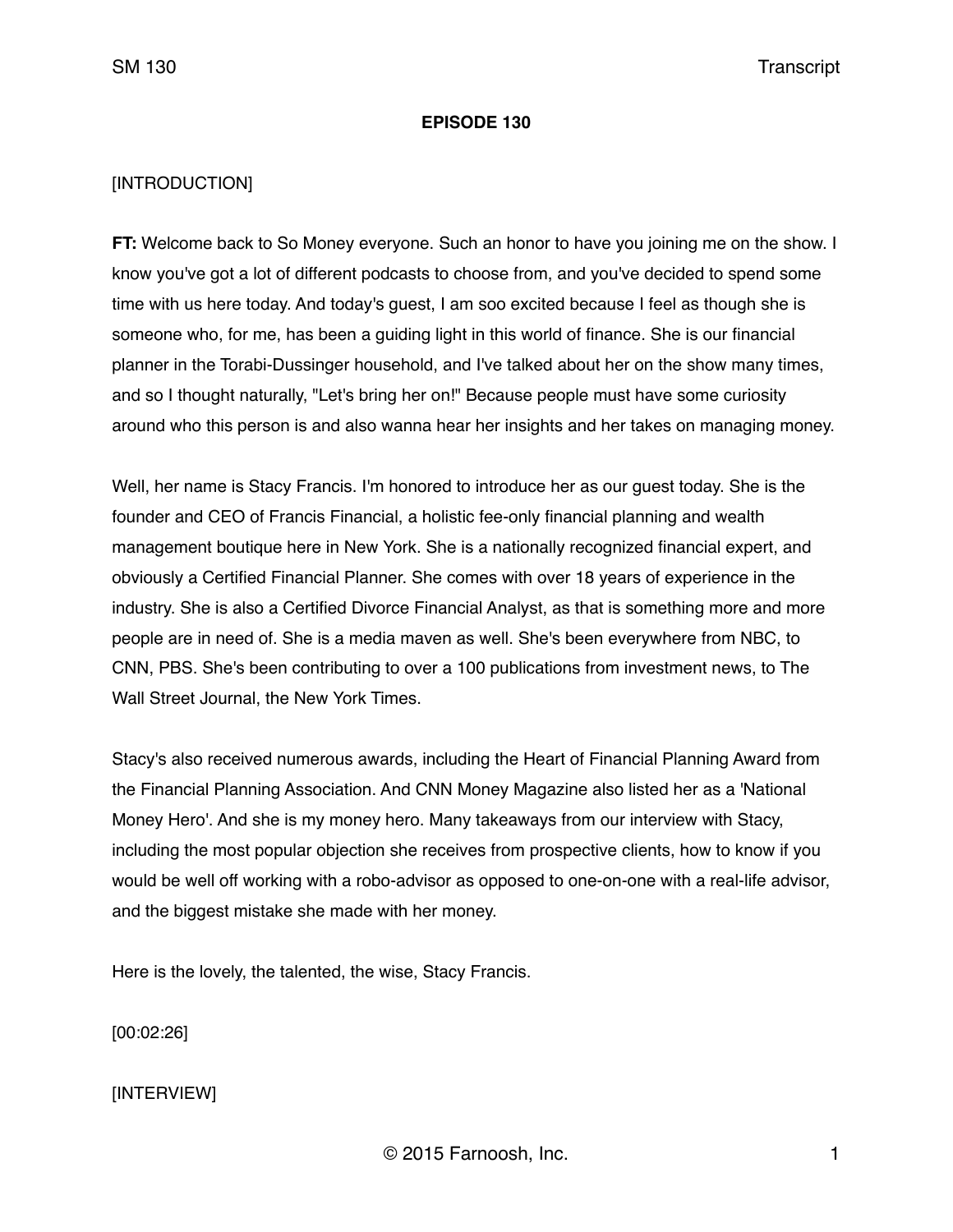#### **EPISODE 130**

## [INTRODUCTION]

**FT:** Welcome back to So Money everyone. Such an honor to have you joining me on the show. I know you've got a lot of different podcasts to choose from, and you've decided to spend some time with us here today. And today's guest, I am soo excited because I feel as though she is someone who, for me, has been a guiding light in this world of finance. She is our financial planner in the Torabi-Dussinger household, and I've talked about her on the show many times, and so I thought naturally, "Let's bring her on!" Because people must have some curiosity around who this person is and also wanna hear her insights and her takes on managing money.

Well, her name is Stacy Francis. I'm honored to introduce her as our guest today. She is the founder and CEO of Francis Financial, a holistic fee-only financial planning and wealth management boutique here in New York. She is a nationally recognized financial expert, and obviously a Certified Financial Planner. She comes with over 18 years of experience in the industry. She is also a Certified Divorce Financial Analyst, as that is something more and more people are in need of. She is a media maven as well. She's been everywhere from NBC, to CNN, PBS. She's been contributing to over a 100 publications from investment news, to The Wall Street Journal, the New York Times.

Stacy's also received numerous awards, including the Heart of Financial Planning Award from the Financial Planning Association. And CNN Money Magazine also listed her as a 'National Money Hero'. And she is my money hero. Many takeaways from our interview with Stacy, including the most popular objection she receives from prospective clients, how to know if you would be well off working with a robo-advisor as opposed to one-on-one with a real-life advisor, and the biggest mistake she made with her money.

Here is the lovely, the talented, the wise, Stacy Francis.

[00:02:26]

[INTERVIEW]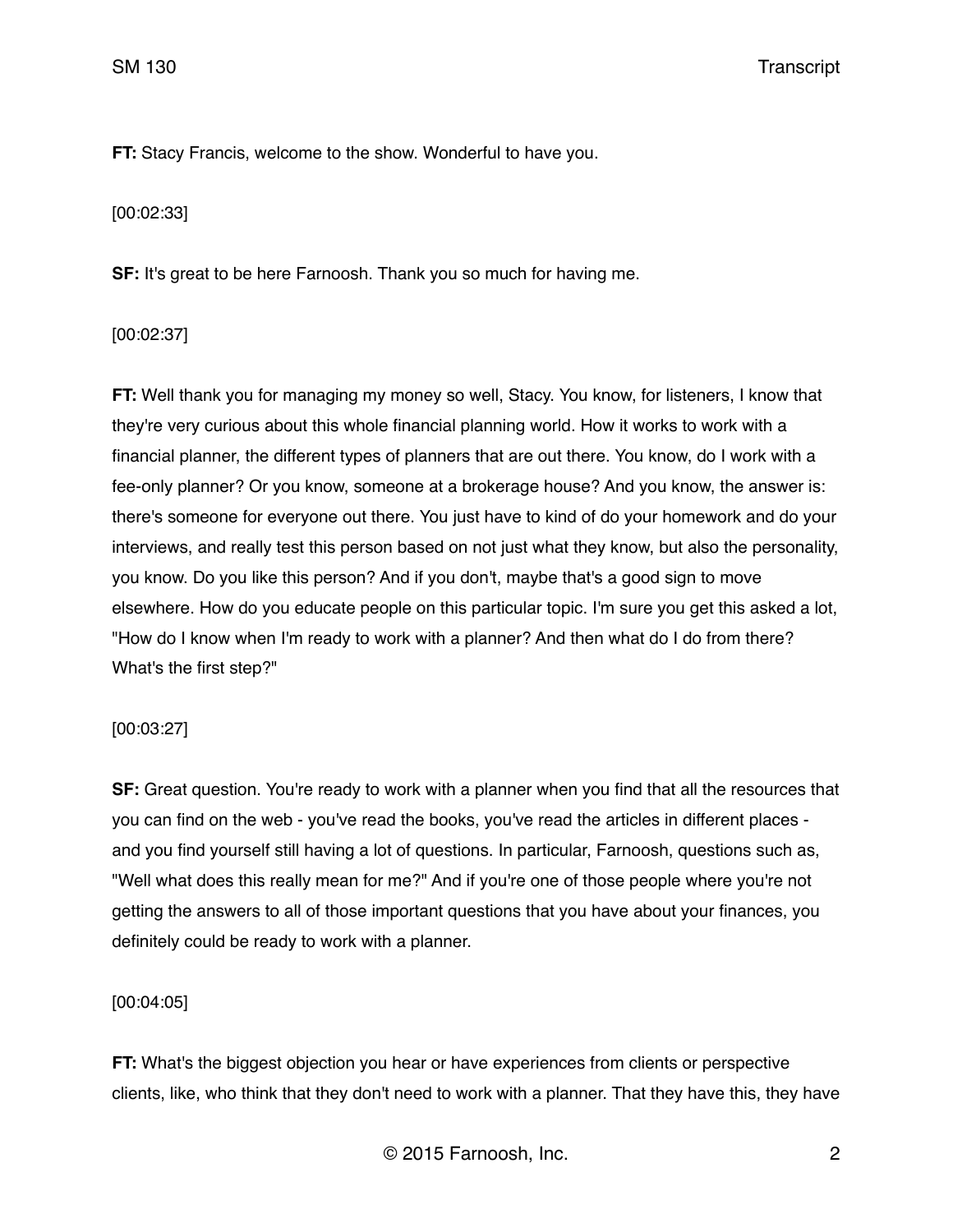**FT:** Stacy Francis, welcome to the show. Wonderful to have you.

[00:02:33]

**SF:** It's great to be here Farnoosh. Thank you so much for having me.

[00:02:37]

**FT:** Well thank you for managing my money so well, Stacy. You know, for listeners, I know that they're very curious about this whole financial planning world. How it works to work with a financial planner, the different types of planners that are out there. You know, do I work with a fee-only planner? Or you know, someone at a brokerage house? And you know, the answer is: there's someone for everyone out there. You just have to kind of do your homework and do your interviews, and really test this person based on not just what they know, but also the personality, you know. Do you like this person? And if you don't, maybe that's a good sign to move elsewhere. How do you educate people on this particular topic. I'm sure you get this asked a lot, "How do I know when I'm ready to work with a planner? And then what do I do from there? What's the first step?"

[00:03:27]

**SF:** Great question. You're ready to work with a planner when you find that all the resources that you can find on the web - you've read the books, you've read the articles in different places and you find yourself still having a lot of questions. In particular, Farnoosh, questions such as, "Well what does this really mean for me?" And if you're one of those people where you're not getting the answers to all of those important questions that you have about your finances, you definitely could be ready to work with a planner.

[00:04:05]

**FT:** What's the biggest objection you hear or have experiences from clients or perspective clients, like, who think that they don't need to work with a planner. That they have this, they have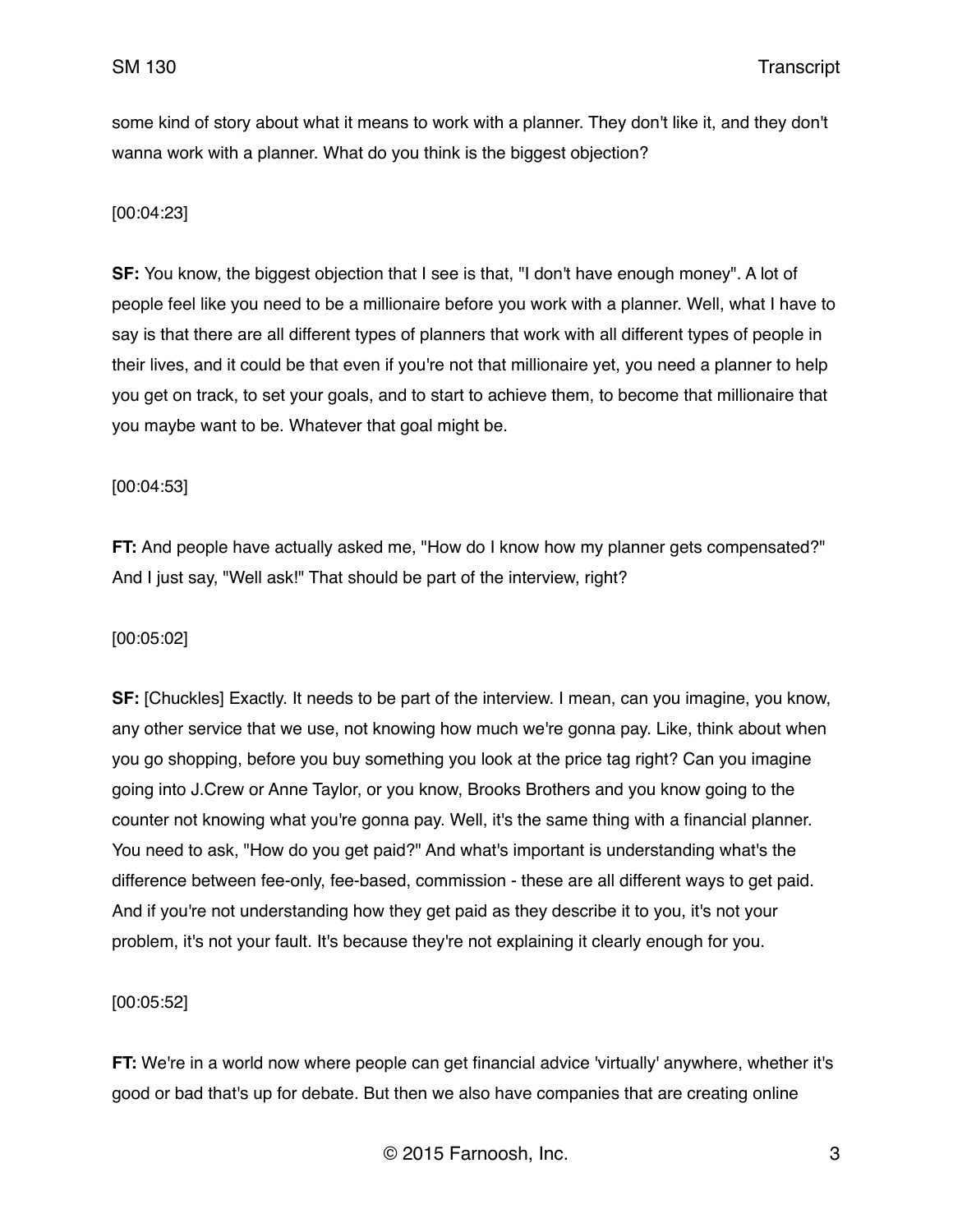some kind of story about what it means to work with a planner. They don't like it, and they don't wanna work with a planner. What do you think is the biggest objection?

# [00:04:23]

**SF:** You know, the biggest objection that I see is that, "I don't have enough money". A lot of people feel like you need to be a millionaire before you work with a planner. Well, what I have to say is that there are all different types of planners that work with all different types of people in their lives, and it could be that even if you're not that millionaire yet, you need a planner to help you get on track, to set your goals, and to start to achieve them, to become that millionaire that you maybe want to be. Whatever that goal might be.

## [00:04:53]

**FT:** And people have actually asked me, "How do I know how my planner gets compensated?" And I just say, "Well ask!" That should be part of the interview, right?

# [00:05:02]

**SF:** [Chuckles] Exactly. It needs to be part of the interview. I mean, can you imagine, you know, any other service that we use, not knowing how much we're gonna pay. Like, think about when you go shopping, before you buy something you look at the price tag right? Can you imagine going into J.Crew or Anne Taylor, or you know, Brooks Brothers and you know going to the counter not knowing what you're gonna pay. Well, it's the same thing with a financial planner. You need to ask, "How do you get paid?" And what's important is understanding what's the difference between fee-only, fee-based, commission - these are all different ways to get paid. And if you're not understanding how they get paid as they describe it to you, it's not your problem, it's not your fault. It's because they're not explaining it clearly enough for you.

# [00:05:52]

**FT:** We're in a world now where people can get financial advice 'virtually' anywhere, whether it's good or bad that's up for debate. But then we also have companies that are creating online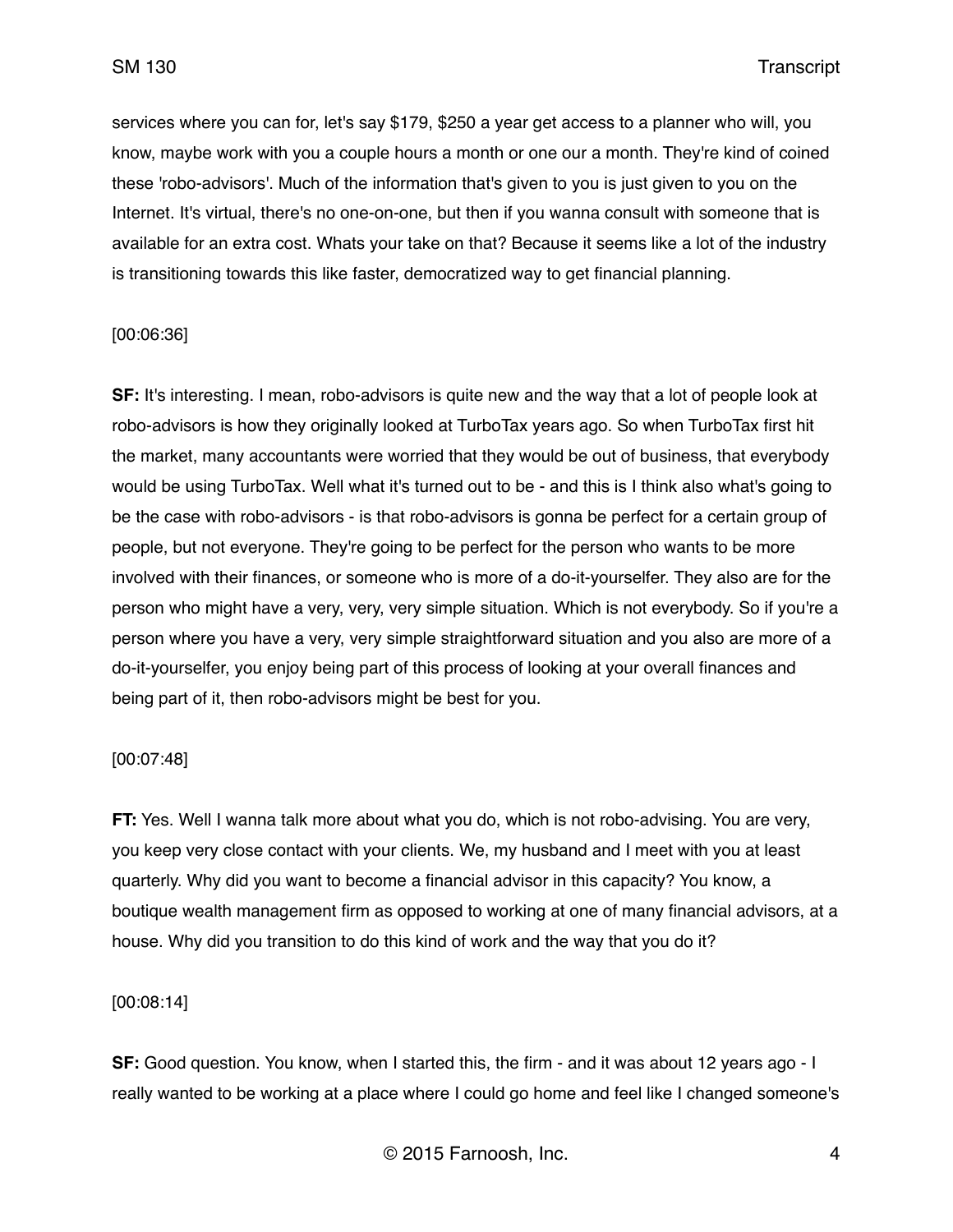services where you can for, let's say \$179, \$250 a year get access to a planner who will, you know, maybe work with you a couple hours a month or one our a month. They're kind of coined these 'robo-advisors'. Much of the information that's given to you is just given to you on the Internet. It's virtual, there's no one-on-one, but then if you wanna consult with someone that is available for an extra cost. Whats your take on that? Because it seems like a lot of the industry is transitioning towards this like faster, democratized way to get financial planning.

## [00:06:36]

**SF:** It's interesting. I mean, robo-advisors is quite new and the way that a lot of people look at robo-advisors is how they originally looked at TurboTax years ago. So when TurboTax first hit the market, many accountants were worried that they would be out of business, that everybody would be using TurboTax. Well what it's turned out to be - and this is I think also what's going to be the case with robo-advisors - is that robo-advisors is gonna be perfect for a certain group of people, but not everyone. They're going to be perfect for the person who wants to be more involved with their finances, or someone who is more of a do-it-yourselfer. They also are for the person who might have a very, very, very simple situation. Which is not everybody. So if you're a person where you have a very, very simple straightforward situation and you also are more of a do-it-yourselfer, you enjoy being part of this process of looking at your overall finances and being part of it, then robo-advisors might be best for you.

#### [00:07:48]

**FT:** Yes. Well I wanna talk more about what you do, which is not robo-advising. You are very, you keep very close contact with your clients. We, my husband and I meet with you at least quarterly. Why did you want to become a financial advisor in this capacity? You know, a boutique wealth management firm as opposed to working at one of many financial advisors, at a house. Why did you transition to do this kind of work and the way that you do it?

#### [00:08:14]

**SF:** Good question. You know, when I started this, the firm - and it was about 12 years ago - I really wanted to be working at a place where I could go home and feel like I changed someone's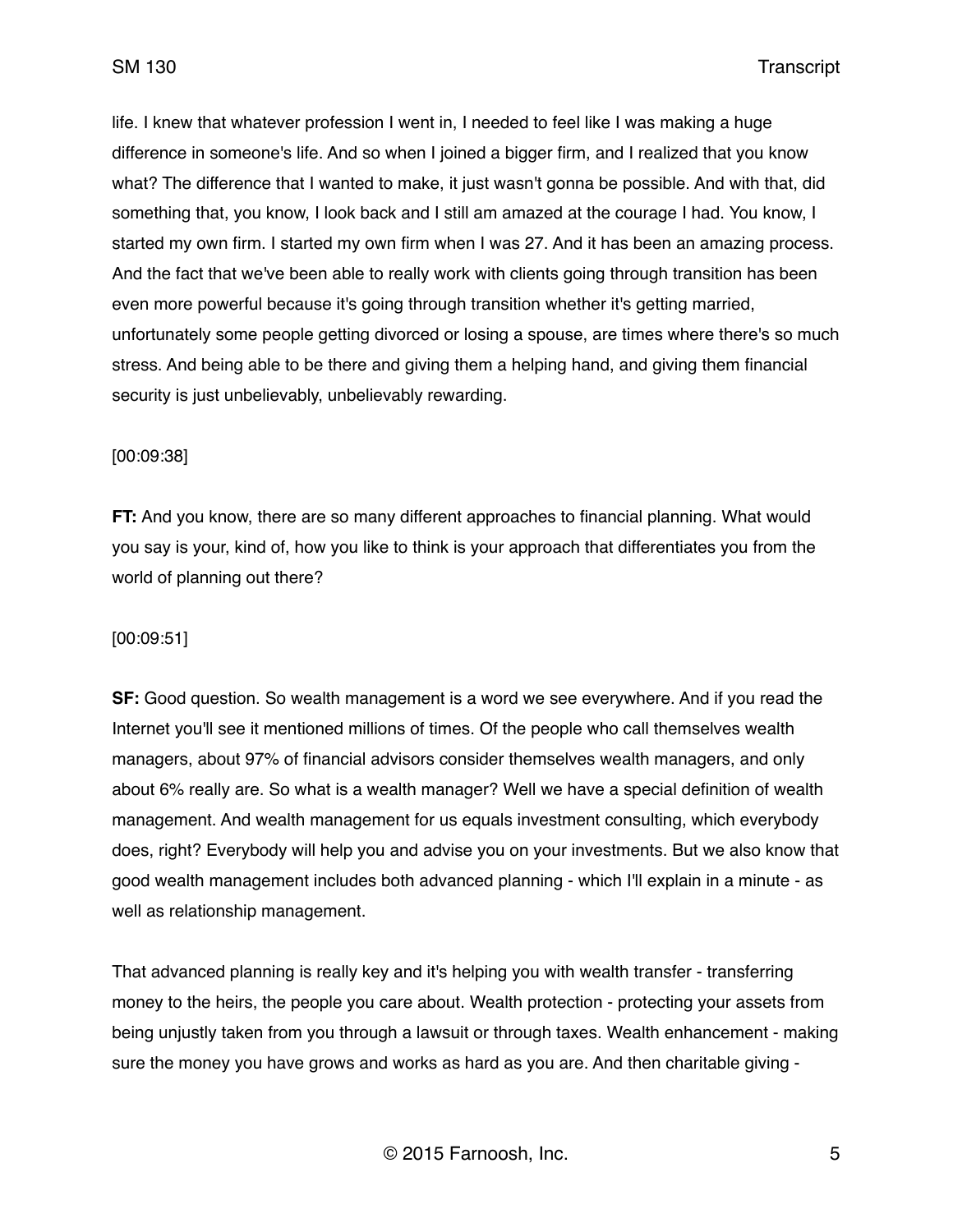life. I knew that whatever profession I went in, I needed to feel like I was making a huge difference in someone's life. And so when I joined a bigger firm, and I realized that you know what? The difference that I wanted to make, it just wasn't gonna be possible. And with that, did something that, you know, I look back and I still am amazed at the courage I had. You know, I started my own firm. I started my own firm when I was 27. And it has been an amazing process. And the fact that we've been able to really work with clients going through transition has been even more powerful because it's going through transition whether it's getting married, unfortunately some people getting divorced or losing a spouse, are times where there's so much stress. And being able to be there and giving them a helping hand, and giving them financial security is just unbelievably, unbelievably rewarding.

#### [00:09:38]

**FT:** And you know, there are so many different approaches to financial planning. What would you say is your, kind of, how you like to think is your approach that differentiates you from the world of planning out there?

#### [00:09:51]

**SF:** Good question. So wealth management is a word we see everywhere. And if you read the Internet you'll see it mentioned millions of times. Of the people who call themselves wealth managers, about 97% of financial advisors consider themselves wealth managers, and only about 6% really are. So what is a wealth manager? Well we have a special definition of wealth management. And wealth management for us equals investment consulting, which everybody does, right? Everybody will help you and advise you on your investments. But we also know that good wealth management includes both advanced planning - which I'll explain in a minute - as well as relationship management.

That advanced planning is really key and it's helping you with wealth transfer - transferring money to the heirs, the people you care about. Wealth protection - protecting your assets from being unjustly taken from you through a lawsuit or through taxes. Wealth enhancement - making sure the money you have grows and works as hard as you are. And then charitable giving -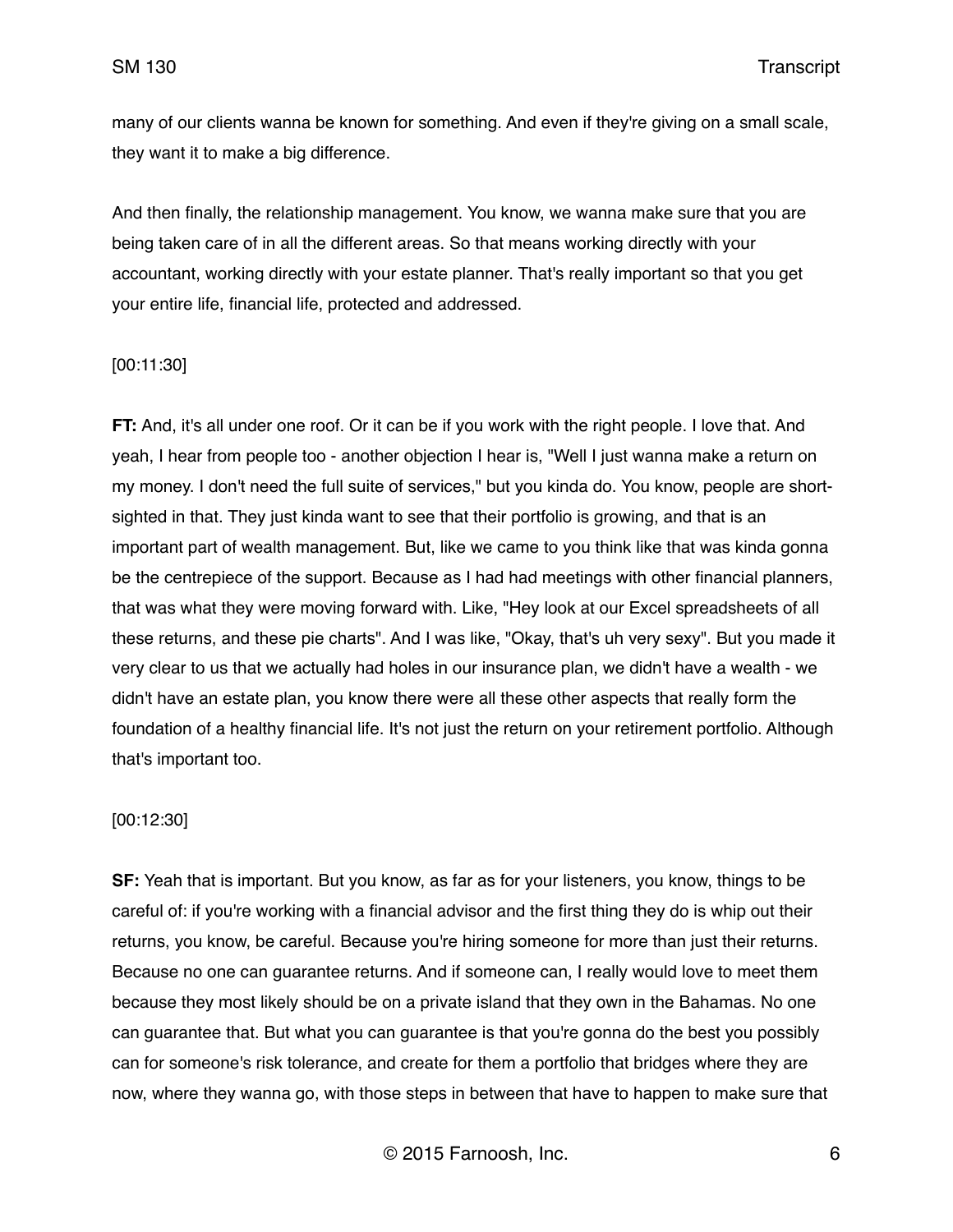many of our clients wanna be known for something. And even if they're giving on a small scale, they want it to make a big difference.

And then finally, the relationship management. You know, we wanna make sure that you are being taken care of in all the different areas. So that means working directly with your accountant, working directly with your estate planner. That's really important so that you get your entire life, financial life, protected and addressed.

#### [00:11:30]

**FT:** And, it's all under one roof. Or it can be if you work with the right people. I love that. And yeah, I hear from people too - another objection I hear is, "Well I just wanna make a return on my money. I don't need the full suite of services," but you kinda do. You know, people are shortsighted in that. They just kinda want to see that their portfolio is growing, and that is an important part of wealth management. But, like we came to you think like that was kinda gonna be the centrepiece of the support. Because as I had had meetings with other financial planners, that was what they were moving forward with. Like, "Hey look at our Excel spreadsheets of all these returns, and these pie charts". And I was like, "Okay, that's uh very sexy". But you made it very clear to us that we actually had holes in our insurance plan, we didn't have a wealth - we didn't have an estate plan, you know there were all these other aspects that really form the foundation of a healthy financial life. It's not just the return on your retirement portfolio. Although that's important too.

#### [00:12:30]

**SF:** Yeah that is important. But you know, as far as for your listeners, you know, things to be careful of: if you're working with a financial advisor and the first thing they do is whip out their returns, you know, be careful. Because you're hiring someone for more than just their returns. Because no one can guarantee returns. And if someone can, I really would love to meet them because they most likely should be on a private island that they own in the Bahamas. No one can guarantee that. But what you can guarantee is that you're gonna do the best you possibly can for someone's risk tolerance, and create for them a portfolio that bridges where they are now, where they wanna go, with those steps in between that have to happen to make sure that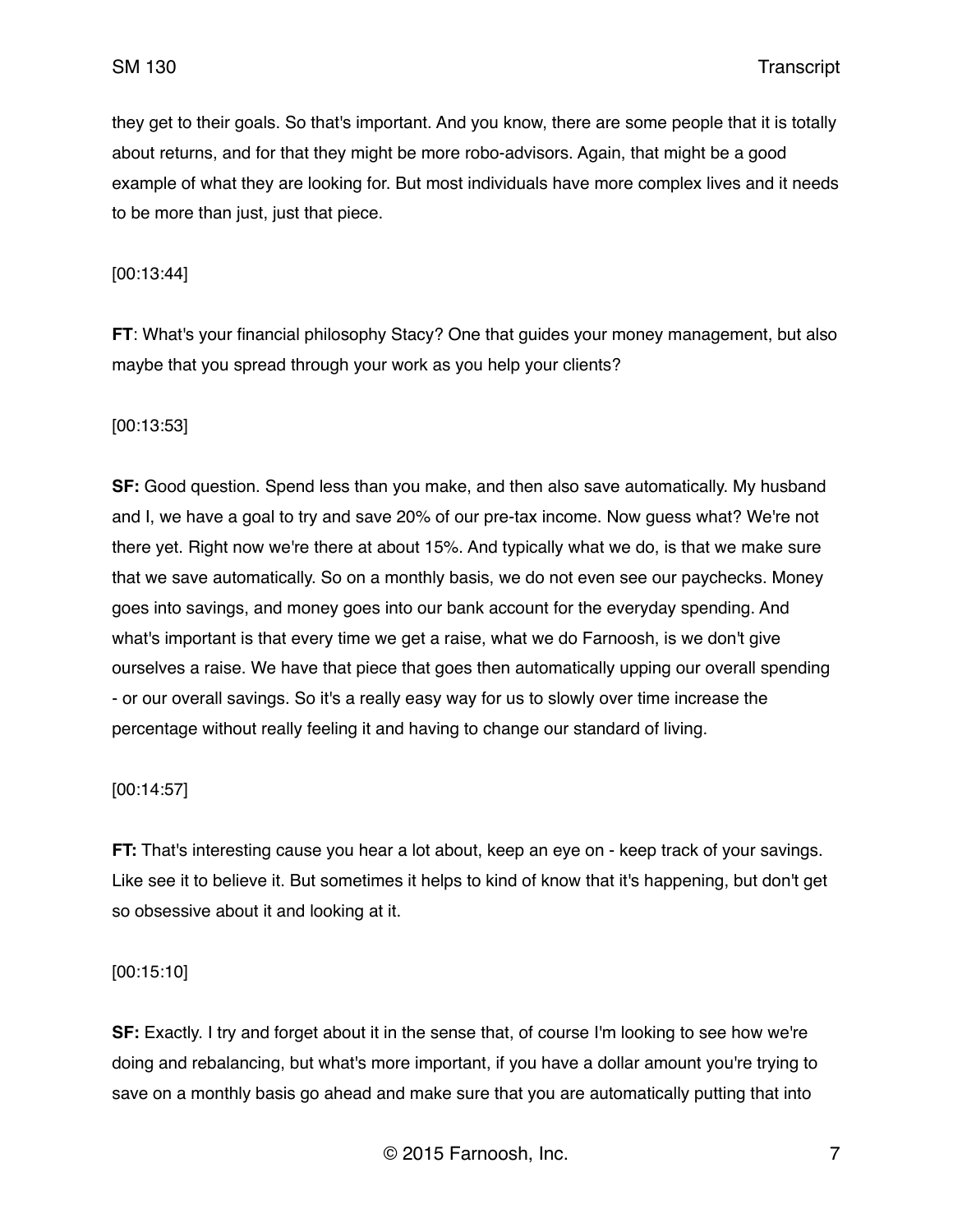they get to their goals. So that's important. And you know, there are some people that it is totally about returns, and for that they might be more robo-advisors. Again, that might be a good example of what they are looking for. But most individuals have more complex lives and it needs to be more than just, just that piece.

[00:13:44]

**FT**: What's your financial philosophy Stacy? One that guides your money management, but also maybe that you spread through your work as you help your clients?

## [00:13:53]

**SF:** Good question. Spend less than you make, and then also save automatically. My husband and I, we have a goal to try and save 20% of our pre-tax income. Now guess what? We're not there yet. Right now we're there at about 15%. And typically what we do, is that we make sure that we save automatically. So on a monthly basis, we do not even see our paychecks. Money goes into savings, and money goes into our bank account for the everyday spending. And what's important is that every time we get a raise, what we do Farnoosh, is we don't give ourselves a raise. We have that piece that goes then automatically upping our overall spending - or our overall savings. So it's a really easy way for us to slowly over time increase the percentage without really feeling it and having to change our standard of living.

#### [00:14:57]

**FT:** That's interesting cause you hear a lot about, keep an eye on - keep track of your savings. Like see it to believe it. But sometimes it helps to kind of know that it's happening, but don't get so obsessive about it and looking at it.

#### [00:15:10]

**SF:** Exactly. I try and forget about it in the sense that, of course I'm looking to see how we're doing and rebalancing, but what's more important, if you have a dollar amount you're trying to save on a monthly basis go ahead and make sure that you are automatically putting that into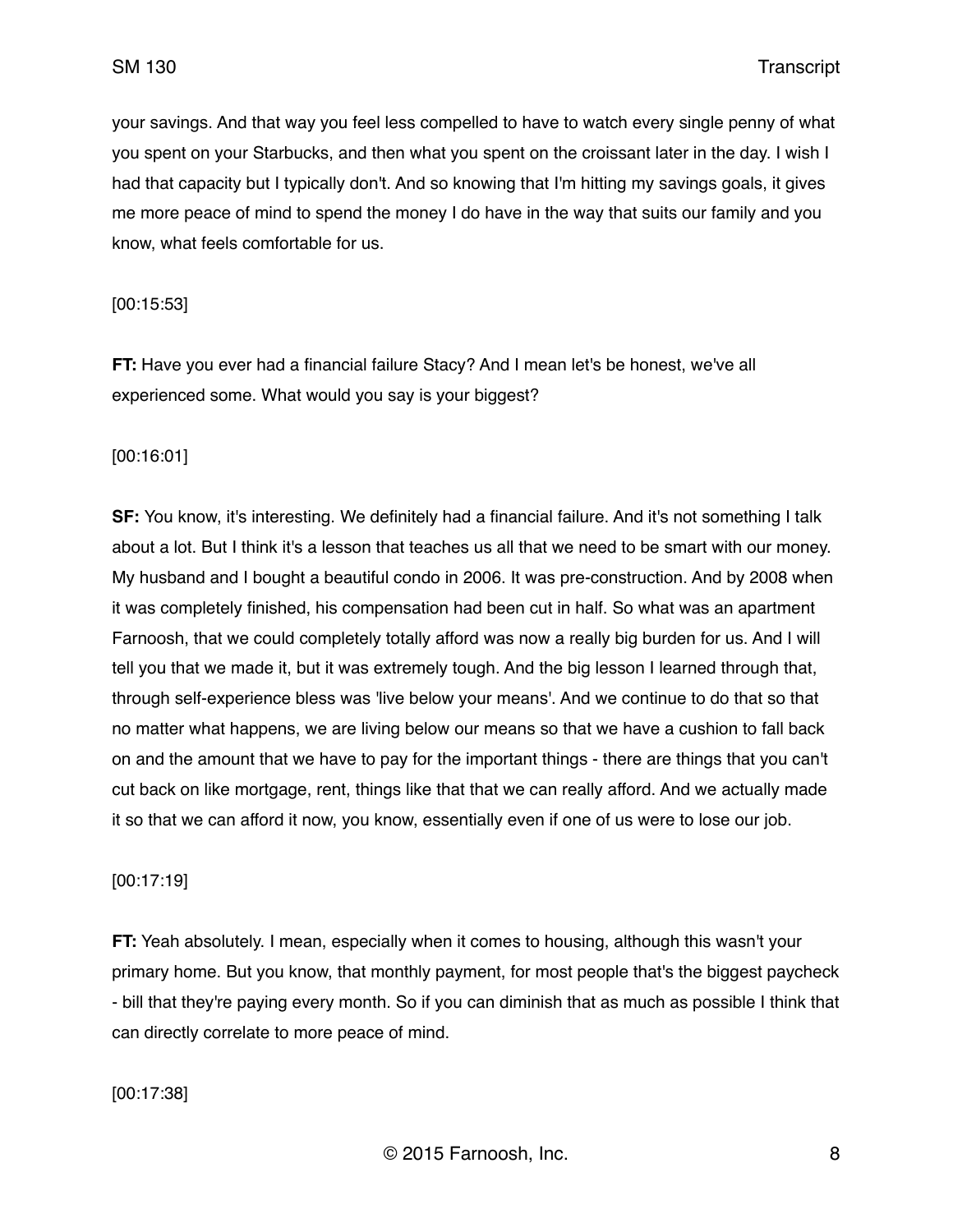your savings. And that way you feel less compelled to have to watch every single penny of what you spent on your Starbucks, and then what you spent on the croissant later in the day. I wish I had that capacity but I typically don't. And so knowing that I'm hitting my savings goals, it gives me more peace of mind to spend the money I do have in the way that suits our family and you know, what feels comfortable for us.

## [00:15:53]

**FT:** Have you ever had a financial failure Stacy? And I mean let's be honest, we've all experienced some. What would you say is your biggest?

# [00:16:01]

**SF:** You know, it's interesting. We definitely had a financial failure. And it's not something I talk about a lot. But I think it's a lesson that teaches us all that we need to be smart with our money. My husband and I bought a beautiful condo in 2006. It was pre-construction. And by 2008 when it was completely finished, his compensation had been cut in half. So what was an apartment Farnoosh, that we could completely totally afford was now a really big burden for us. And I will tell you that we made it, but it was extremely tough. And the big lesson I learned through that, through self-experience bless was 'live below your means'. And we continue to do that so that no matter what happens, we are living below our means so that we have a cushion to fall back on and the amount that we have to pay for the important things - there are things that you can't cut back on like mortgage, rent, things like that that we can really afford. And we actually made it so that we can afford it now, you know, essentially even if one of us were to lose our job.

# [00:17:19]

**FT:** Yeah absolutely. I mean, especially when it comes to housing, although this wasn't your primary home. But you know, that monthly payment, for most people that's the biggest paycheck - bill that they're paying every month. So if you can diminish that as much as possible I think that can directly correlate to more peace of mind.

[00:17:38]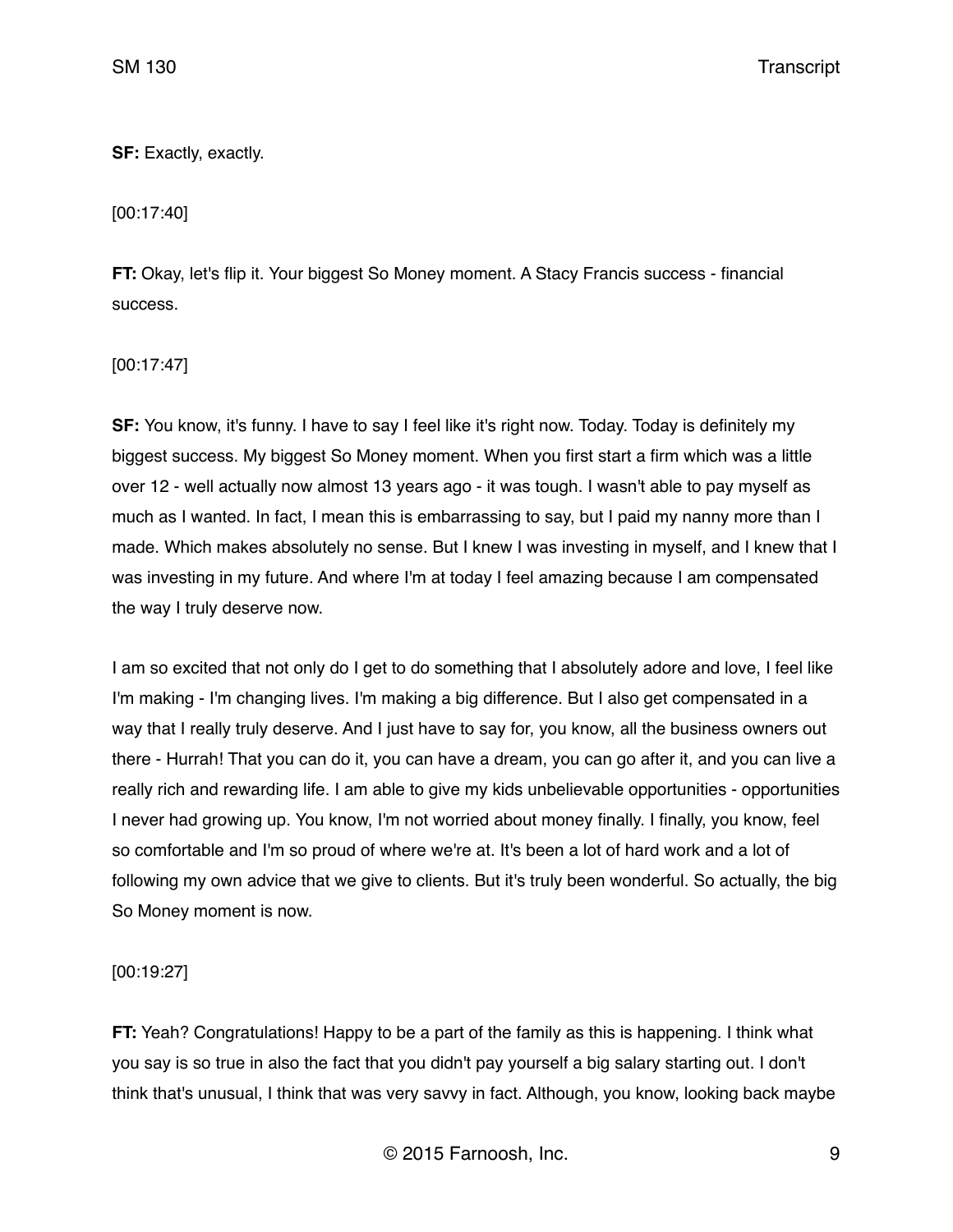# **SF:** Exactly, exactly.

[00:17:40]

**FT:** Okay, let's flip it. Your biggest So Money moment. A Stacy Francis success - financial success.

[00:17:47]

**SF:** You know, it's funny. I have to say I feel like it's right now. Today. Today is definitely my biggest success. My biggest So Money moment. When you first start a firm which was a little over 12 - well actually now almost 13 years ago - it was tough. I wasn't able to pay myself as much as I wanted. In fact, I mean this is embarrassing to say, but I paid my nanny more than I made. Which makes absolutely no sense. But I knew I was investing in myself, and I knew that I was investing in my future. And where I'm at today I feel amazing because I am compensated the way I truly deserve now.

I am so excited that not only do I get to do something that I absolutely adore and love, I feel like I'm making - I'm changing lives. I'm making a big difference. But I also get compensated in a way that I really truly deserve. And I just have to say for, you know, all the business owners out there - Hurrah! That you can do it, you can have a dream, you can go after it, and you can live a really rich and rewarding life. I am able to give my kids unbelievable opportunities - opportunities I never had growing up. You know, I'm not worried about money finally. I finally, you know, feel so comfortable and I'm so proud of where we're at. It's been a lot of hard work and a lot of following my own advice that we give to clients. But it's truly been wonderful. So actually, the big So Money moment is now.

[00:19:27]

**FT:** Yeah? Congratulations! Happy to be a part of the family as this is happening. I think what you say is so true in also the fact that you didn't pay yourself a big salary starting out. I don't think that's unusual, I think that was very savvy in fact. Although, you know, looking back maybe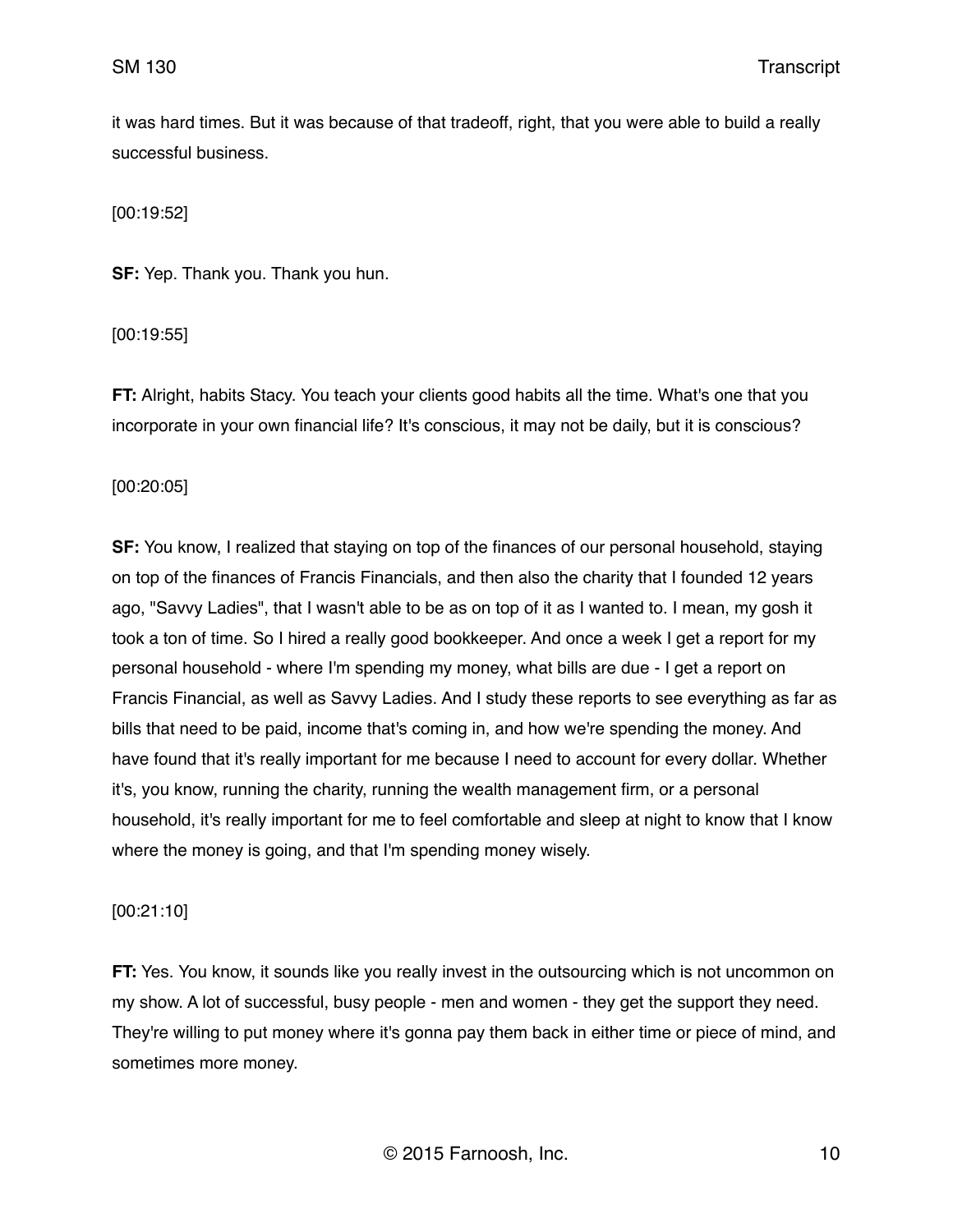it was hard times. But it was because of that tradeoff, right, that you were able to build a really successful business.

[00:19:52]

**SF:** Yep. Thank you. Thank you hun.

[00:19:55]

**FT:** Alright, habits Stacy. You teach your clients good habits all the time. What's one that you incorporate in your own financial life? It's conscious, it may not be daily, but it is conscious?

[00:20:05]

**SF:** You know, I realized that staying on top of the finances of our personal household, staying on top of the finances of Francis Financials, and then also the charity that I founded 12 years ago, "Savvy Ladies", that I wasn't able to be as on top of it as I wanted to. I mean, my gosh it took a ton of time. So I hired a really good bookkeeper. And once a week I get a report for my personal household - where I'm spending my money, what bills are due - I get a report on Francis Financial, as well as Savvy Ladies. And I study these reports to see everything as far as bills that need to be paid, income that's coming in, and how we're spending the money. And have found that it's really important for me because I need to account for every dollar. Whether it's, you know, running the charity, running the wealth management firm, or a personal household, it's really important for me to feel comfortable and sleep at night to know that I know where the money is going, and that I'm spending money wisely.

# [00:21:10]

**FT:** Yes. You know, it sounds like you really invest in the outsourcing which is not uncommon on my show. A lot of successful, busy people - men and women - they get the support they need. They're willing to put money where it's gonna pay them back in either time or piece of mind, and sometimes more money.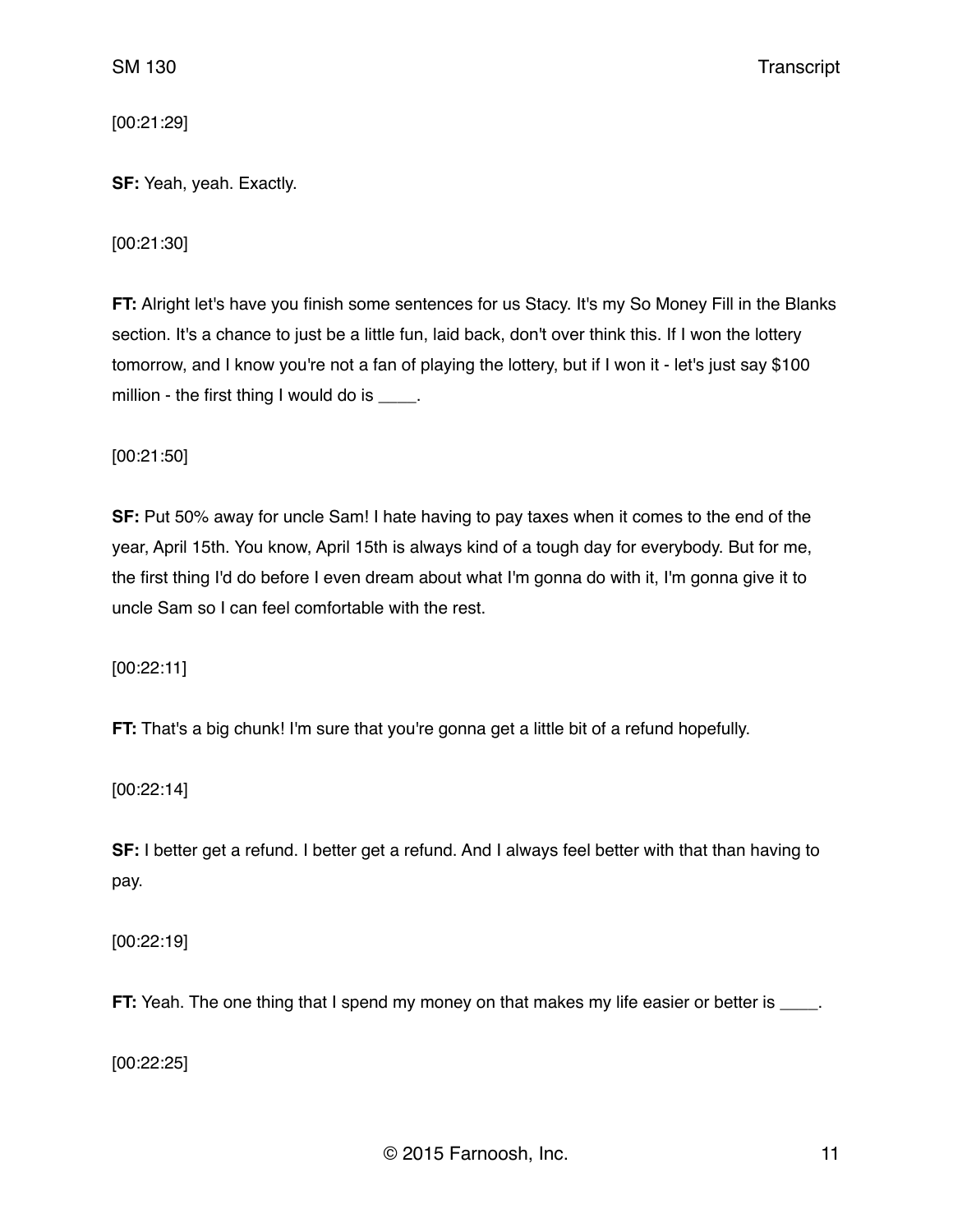[00:21:29]

# **SF:** Yeah, yeah. Exactly.

[00:21:30]

**FT:** Alright let's have you finish some sentences for us Stacy. It's my So Money Fill in the Blanks section. It's a chance to just be a little fun, laid back, don't over think this. If I won the lottery tomorrow, and I know you're not a fan of playing the lottery, but if I won it - let's just say \$100 million - the first thing I would do is \_\_\_\_.

[00:21:50]

**SF:** Put 50% away for uncle Sam! I hate having to pay taxes when it comes to the end of the year, April 15th. You know, April 15th is always kind of a tough day for everybody. But for me, the first thing I'd do before I even dream about what I'm gonna do with it, I'm gonna give it to uncle Sam so I can feel comfortable with the rest.

[00:22:11]

**FT:** That's a big chunk! I'm sure that you're gonna get a little bit of a refund hopefully.

[00:22:14]

**SF:** I better get a refund. I better get a refund. And I always feel better with that than having to pay.

[00:22:19]

**FT:** Yeah. The one thing that I spend my money on that makes my life easier or better is

[00:22:25]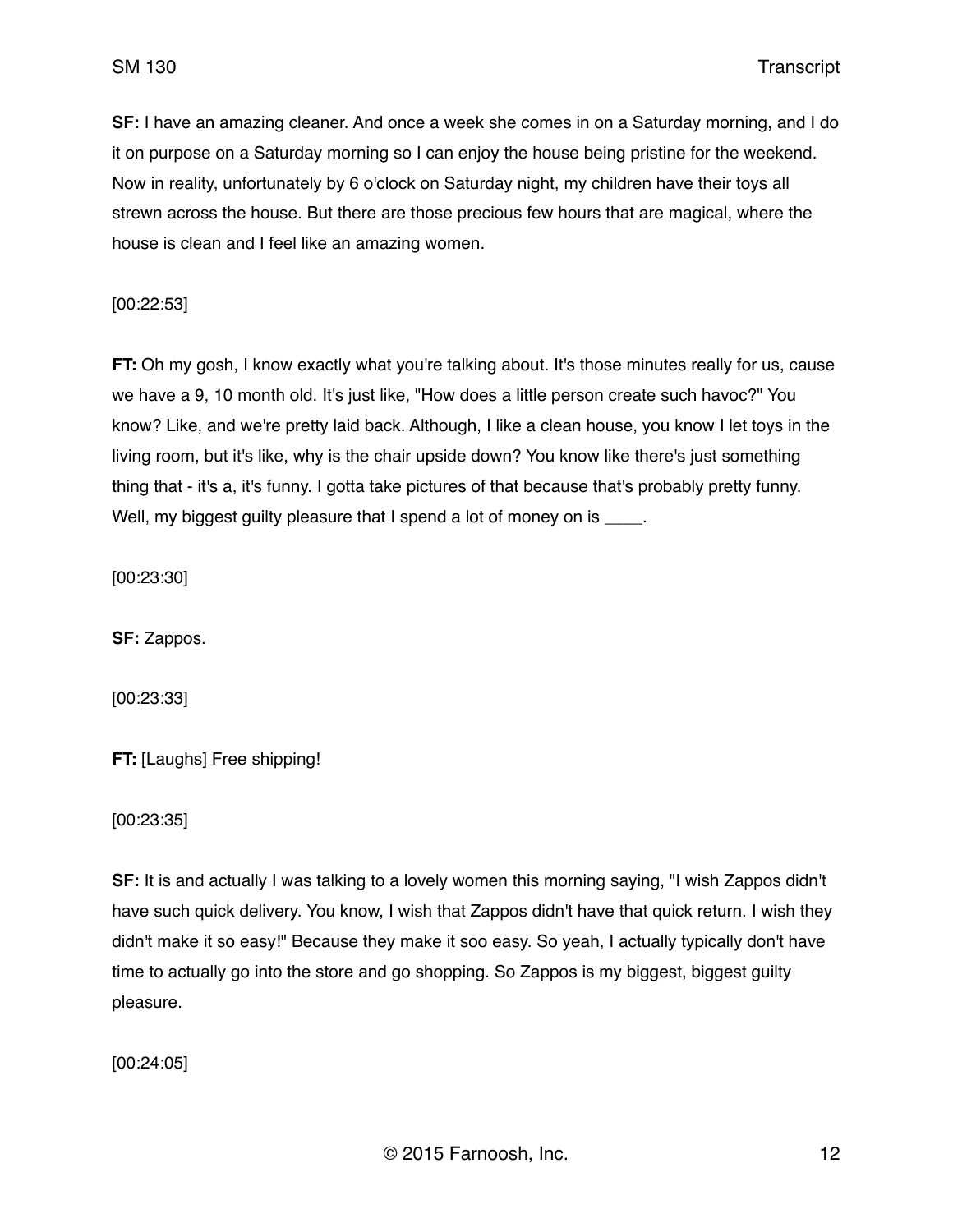**SF:** I have an amazing cleaner. And once a week she comes in on a Saturday morning, and I do it on purpose on a Saturday morning so I can enjoy the house being pristine for the weekend. Now in reality, unfortunately by 6 o'clock on Saturday night, my children have their toys all strewn across the house. But there are those precious few hours that are magical, where the house is clean and I feel like an amazing women.

[00:22:53]

**FT:** Oh my gosh, I know exactly what you're talking about. It's those minutes really for us, cause we have a 9, 10 month old. It's just like, "How does a little person create such havoc?" You know? Like, and we're pretty laid back. Although, I like a clean house, you know I let toys in the living room, but it's like, why is the chair upside down? You know like there's just something thing that - it's a, it's funny. I gotta take pictures of that because that's probably pretty funny. Well, my biggest guilty pleasure that I spend a lot of money on is  $\qquad \qquad$ .

[00:23:30]

**SF:** Zappos.

[00:23:33]

**FT:** [Laughs] Free shipping!

[00:23:35]

**SF:** It is and actually I was talking to a lovely women this morning saying, "I wish Zappos didn't have such quick delivery. You know, I wish that Zappos didn't have that quick return. I wish they didn't make it so easy!" Because they make it soo easy. So yeah, I actually typically don't have time to actually go into the store and go shopping. So Zappos is my biggest, biggest guilty pleasure.

[00:24:05]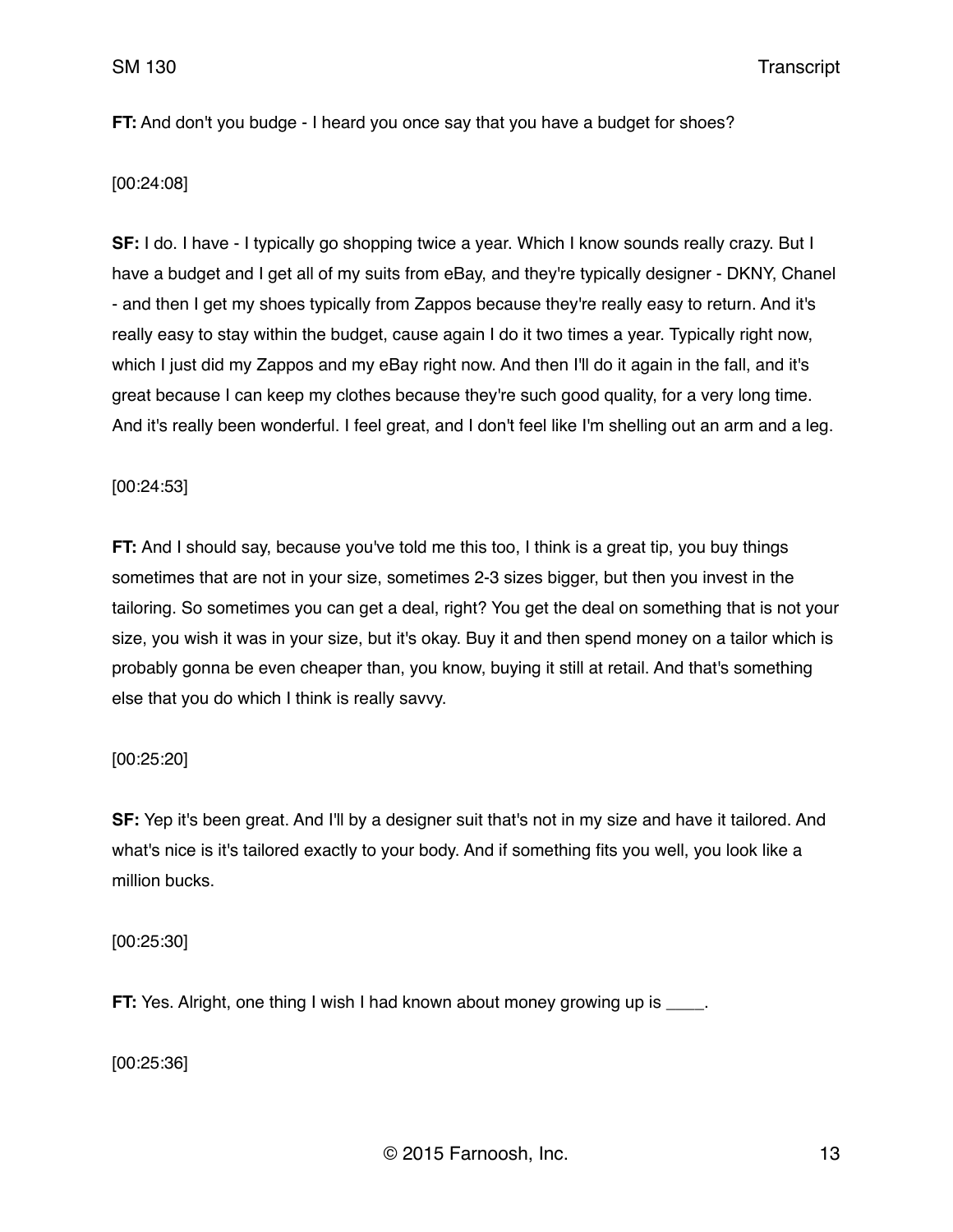SM 130 Transcript

**FT:** And don't you budge - I heard you once say that you have a budget for shoes?

## [00:24:08]

**SF:** I do. I have - I typically go shopping twice a year. Which I know sounds really crazy. But I have a budget and I get all of my suits from eBay, and they're typically designer - DKNY, Chanel - and then I get my shoes typically from Zappos because they're really easy to return. And it's really easy to stay within the budget, cause again I do it two times a year. Typically right now, which I just did my Zappos and my eBay right now. And then I'll do it again in the fall, and it's great because I can keep my clothes because they're such good quality, for a very long time. And it's really been wonderful. I feel great, and I don't feel like I'm shelling out an arm and a leg.

## [00:24:53]

**FT:** And I should say, because you've told me this too, I think is a great tip, you buy things sometimes that are not in your size, sometimes 2-3 sizes bigger, but then you invest in the tailoring. So sometimes you can get a deal, right? You get the deal on something that is not your size, you wish it was in your size, but it's okay. Buy it and then spend money on a tailor which is probably gonna be even cheaper than, you know, buying it still at retail. And that's something else that you do which I think is really savvy.

# [00:25:20]

**SF:** Yep it's been great. And I'll by a designer suit that's not in my size and have it tailored. And what's nice is it's tailored exactly to your body. And if something fits you well, you look like a million bucks.

[00:25:30]

**FT:** Yes. Alright, one thing I wish I had known about money growing up is  $\blacksquare$ .

[00:25:36]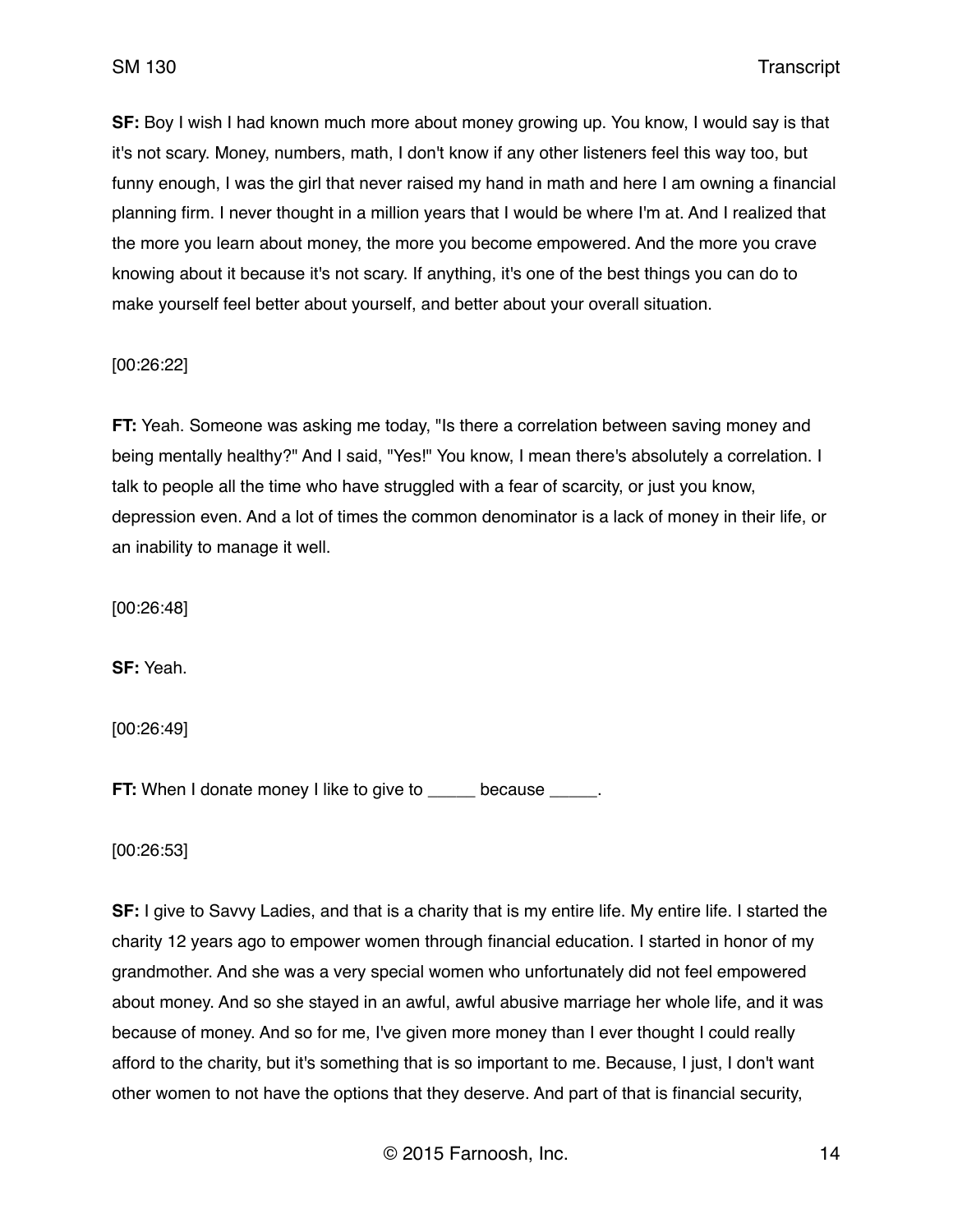**SF:** Boy I wish I had known much more about money growing up. You know, I would say is that it's not scary. Money, numbers, math, I don't know if any other listeners feel this way too, but funny enough, I was the girl that never raised my hand in math and here I am owning a financial planning firm. I never thought in a million years that I would be where I'm at. And I realized that the more you learn about money, the more you become empowered. And the more you crave knowing about it because it's not scary. If anything, it's one of the best things you can do to make yourself feel better about yourself, and better about your overall situation.

# [00:26:22]

**FT:** Yeah. Someone was asking me today, "Is there a correlation between saving money and being mentally healthy?" And I said, "Yes!" You know, I mean there's absolutely a correlation. I talk to people all the time who have struggled with a fear of scarcity, or just you know, depression even. And a lot of times the common denominator is a lack of money in their life, or an inability to manage it well.

[00:26:48]

**SF:** Yeah.

[00:26:49]

**FT:** When I donate money I like to give to because  $\qquad$ .

[00:26:53]

**SF:** I give to Savvy Ladies, and that is a charity that is my entire life. My entire life. I started the charity 12 years ago to empower women through financial education. I started in honor of my grandmother. And she was a very special women who unfortunately did not feel empowered about money. And so she stayed in an awful, awful abusive marriage her whole life, and it was because of money. And so for me, I've given more money than I ever thought I could really afford to the charity, but it's something that is so important to me. Because, I just, I don't want other women to not have the options that they deserve. And part of that is financial security,